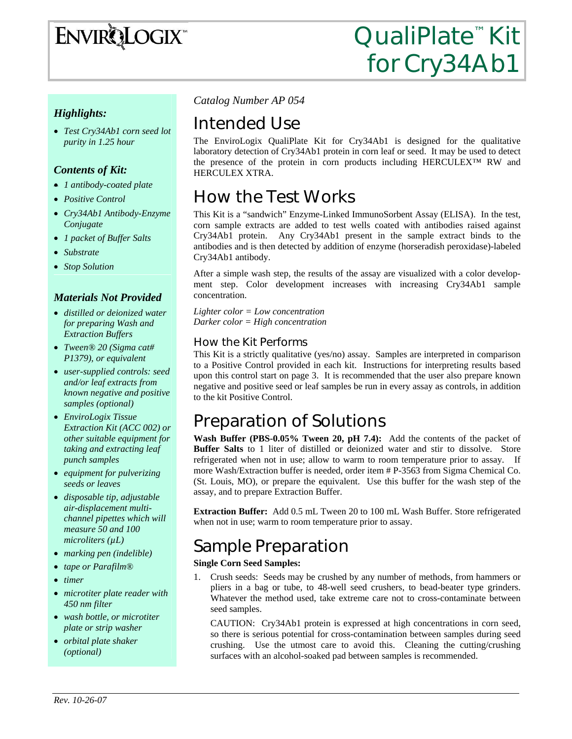

### *Highlights:*

• *Test Cry34Ab1 corn seed lot purity in 1.25 hour* 

### *Contents of Kit:*

- *1 antibody-coated plate*
- *Positive Control*
- *Cry34Ab1 Antibody-Enzyme Conjugate*
- *1 packet of Buffer Salts*
- *Substrate*
- *Stop Solution*

### *Materials Not Provided*

- *distilled or deionized water for preparing Wash and Extraction Buffers*
- *Tween® 20 (Sigma cat# P1379), or equivalent*
- *user-supplied controls: seed and/or leaf extracts from known negative and positive samples (optional)*
- *EnviroLogix Tissue Extraction Kit (ACC 002) or other suitable equipment for taking and extracting leaf punch samples*
- *equipment for pulverizing seeds or leaves*
- *disposable tip, adjustable air-displacement multichannel pipettes which will measure 50 and 100 microliters (µL)*
- *marking pen (indelible)*
- *tape or Parafilm®*
- *timer*
- *microtiter plate reader with 450 nm filter*
- *wash bottle, or microtiter plate or strip washer*
- *orbital plate shaker (optional)*

*Catalog Number AP 054*

# Intended Use

The EnviroLogix QualiPlate Kit for Cry34Ab1 is designed for the qualitative laboratory detection of Cry34Ab1 protein in corn leaf or seed. It may be used to detect the presence of the protein in corn products including HERCULEX™ RW and HERCULEX XTRA.

# How the Test Works

This Kit is a "sandwich" Enzyme-Linked ImmunoSorbent Assay (ELISA). In the test, corn sample extracts are added to test wells coated with antibodies raised against Cry34Ab1 protein. Any Cry34Ab1 present in the sample extract binds to the antibodies and is then detected by addition of enzyme (horseradish peroxidase)-labeled Cry34Ab1 antibody.

After a simple wash step, the results of the assay are visualized with a color development step. Color development increases with increasing Cry34Ab1 sample concentration.

*Lighter color = Low concentration Darker color = High concentration* 

### How the Kit Performs

This Kit is a strictly qualitative (yes/no) assay. Samples are interpreted in comparison to a Positive Control provided in each kit. Instructions for interpreting results based upon this control start on page 3. It is recommended that the user also prepare known negative and positive seed or leaf samples be run in every assay as controls, in addition to the kit Positive Control.

# Preparation of Solutions

**Wash Buffer (PBS-0.05% Tween 20, pH 7.4):** Add the contents of the packet of **Buffer Salts** to 1 liter of distilled or deionized water and stir to dissolve. Store refrigerated when not in use; allow to warm to room temperature prior to assay. If more Wash/Extraction buffer is needed, order item # P-3563 from Sigma Chemical Co. (St. Louis, MO), or prepare the equivalent. Use this buffer for the wash step of the assay, and to prepare Extraction Buffer.

**Extraction Buffer:** Add 0.5 mL Tween 20 to 100 mL Wash Buffer. Store refrigerated when not in use; warm to room temperature prior to assay.

# Sample Preparation

#### **Single Corn Seed Samples:**

1. Crush seeds: Seeds may be crushed by any number of methods, from hammers or pliers in a bag or tube, to 48-well seed crushers, to bead-beater type grinders. Whatever the method used, take extreme care not to cross-contaminate between seed samples.

CAUTION: Cry34Ab1 protein is expressed at high concentrations in corn seed, so there is serious potential for cross-contamination between samples during seed crushing. Use the utmost care to avoid this. Cleaning the cutting/crushing surfaces with an alcohol-soaked pad between samples is recommended.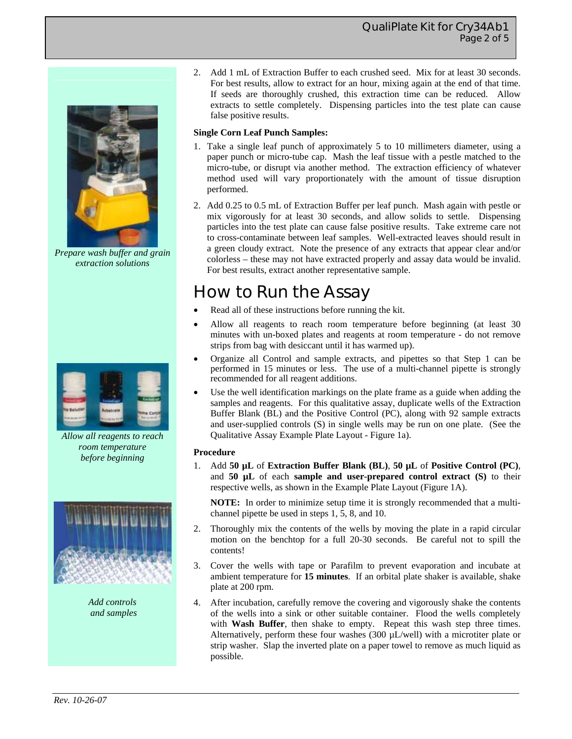### QualiPlate Kit for Cry34Ab1 Page 2 of 5



*Prepare wash buffer and grain extraction solutions* 



*Allow all reagents to reach room temperature before beginning* 



*Add controls and samples*  2. Add 1 mL of Extraction Buffer to each crushed seed. Mix for at least 30 seconds. For best results, allow to extract for an hour, mixing again at the end of that time. If seeds are thoroughly crushed, this extraction time can be reduced. Allow extracts to settle completely. Dispensing particles into the test plate can cause false positive results.

#### **Single Corn Leaf Punch Samples:**

- 1. Take a single leaf punch of approximately 5 to 10 millimeters diameter, using a paper punch or micro-tube cap. Mash the leaf tissue with a pestle matched to the micro-tube, or disrupt via another method. The extraction efficiency of whatever method used will vary proportionately with the amount of tissue disruption performed.
- 2. Add 0.25 to 0.5 mL of Extraction Buffer per leaf punch. Mash again with pestle or mix vigorously for at least 30 seconds, and allow solids to settle. Dispensing particles into the test plate can cause false positive results. Take extreme care not to cross-contaminate between leaf samples. Well-extracted leaves should result in a green cloudy extract. Note the presence of any extracts that appear clear and/or colorless – these may not have extracted properly and assay data would be invalid. For best results, extract another representative sample.

# How to Run the Assay

- Read all of these instructions before running the kit.
- Allow all reagents to reach room temperature before beginning (at least 30 minutes with un-boxed plates and reagents at room temperature - do not remove strips from bag with desiccant until it has warmed up).
- Organize all Control and sample extracts, and pipettes so that Step 1 can be performed in 15 minutes or less. The use of a multi-channel pipette is strongly recommended for all reagent additions.
- Use the well identification markings on the plate frame as a guide when adding the samples and reagents. For this qualitative assay, duplicate wells of the Extraction Buffer Blank (BL) and the Positive Control (PC), along with 92 sample extracts and user-supplied controls (S) in single wells may be run on one plate. (See the Qualitative Assay Example Plate Layout - Figure 1a).

#### **Procedure**

1. Add **50 µL** of **Extraction Buffer Blank (BL)**, **50 µL** of **Positive Control (PC)**, and **50 µL** of each **sample and user-prepared control extract (S)** to their respective wells, as shown in the Example Plate Layout (Figure 1A).

**NOTE:** In order to minimize setup time it is strongly recommended that a multichannel pipette be used in steps 1, 5, 8, and 10.

- 2. Thoroughly mix the contents of the wells by moving the plate in a rapid circular motion on the benchtop for a full 20-30 seconds. Be careful not to spill the contents!
- 3. Cover the wells with tape or Parafilm to prevent evaporation and incubate at ambient temperature for **15 minutes**. If an orbital plate shaker is available, shake plate at 200 rpm.
- 4. After incubation, carefully remove the covering and vigorously shake the contents of the wells into a sink or other suitable container. Flood the wells completely with **Wash Buffer**, then shake to empty. Repeat this wash step three times. Alternatively, perform these four washes  $(300 \mu L/well)$  with a microtiter plate or strip washer. Slap the inverted plate on a paper towel to remove as much liquid as possible.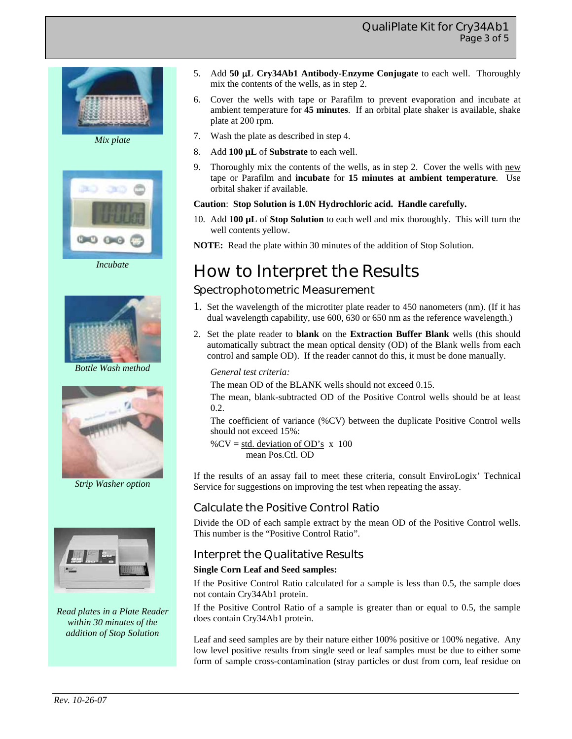



*Incubate* 



*Bottle Wash method* 



*Strip Washer option* 



*Read plates in a Plate Reader within 30 minutes of the addition of Stop Solution* 

- 5. Add **50** μ**L Cry34Ab1 Antibody-Enzyme Conjugate** to each well. Thoroughly mix the contents of the wells, as in step 2.
- 6. Cover the wells with tape or Parafilm to prevent evaporation and incubate at ambient temperature for **45 minutes**. If an orbital plate shaker is available, shake plate at 200 rpm.
- 7. Wash the plate as described in step 4.
- 8. Add **100 µL** of **Substrate** to each well.
- 9. Thoroughly mix the contents of the wells, as in step 2. Cover the wells with new tape or Parafilm and **incubate** for **15 minutes at ambient temperature**. Use orbital shaker if available.

#### **Caution**: **Stop Solution is 1.0N Hydrochloric acid. Handle carefully.**

10. Add **100 µL** of **Stop Solution** to each well and mix thoroughly. This will turn the well contents yellow.

**NOTE:** Read the plate within 30 minutes of the addition of Stop Solution.

# How to Interpret the Results

## Spectrophotometric Measurement

- 1. Set the wavelength of the microtiter plate reader to 450 nanometers (nm). (If it has dual wavelength capability, use 600, 630 or 650 nm as the reference wavelength.)
- 2. Set the plate reader to **blank** on the **Extraction Buffer Blank** wells (this should automatically subtract the mean optical density (OD) of the Blank wells from each control and sample OD). If the reader cannot do this, it must be done manually.

#### *General test criteria:*

The mean OD of the BLANK wells should not exceed 0.15.

The mean, blank-subtracted OD of the Positive Control wells should be at least 0.2.

The coefficient of variance (%CV) between the duplicate Positive Control wells should not exceed 15%:

% $CV = std. deviation of OD's x 100$ mean Pos.Ctl. OD

If the results of an assay fail to meet these criteria, consult EnviroLogix' Technical Service for suggestions on improving the test when repeating the assay.

## Calculate the Positive Control Ratio

Divide the OD of each sample extract by the mean OD of the Positive Control wells. This number is the "Positive Control Ratio".

### Interpret the Qualitative Results

#### **Single Corn Leaf and Seed samples:**

If the Positive Control Ratio calculated for a sample is less than 0.5, the sample does not contain Cry34Ab1 protein.

If the Positive Control Ratio of a sample is greater than or equal to 0.5, the sample does contain Cry34Ab1 protein.

Leaf and seed samples are by their nature either 100% positive or 100% negative. Any low level positive results from single seed or leaf samples must be due to either some form of sample cross-contamination (stray particles or dust from corn, leaf residue on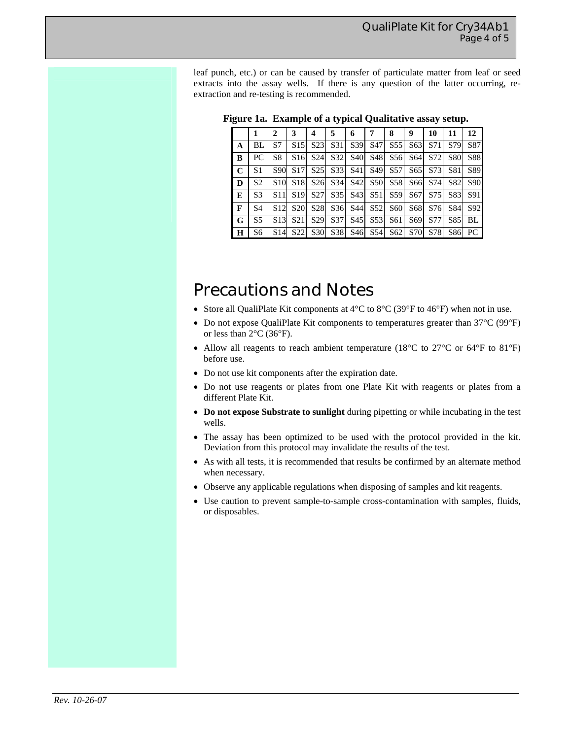leaf punch, etc.) or can be caused by transfer of particulate matter from leaf or seed extracts into the assay wells. If there is any question of the latter occurring, reextraction and re-testing is recommended.

|              |                | $\mathbf{2}$    | 3               | 4               | 5               | 6               |                 | 8               | 9               | 10  | 11         | 12         |
|--------------|----------------|-----------------|-----------------|-----------------|-----------------|-----------------|-----------------|-----------------|-----------------|-----|------------|------------|
| A            | BL             | S7              | S15             | S <sub>23</sub> | S31             | S391            | S <sub>47</sub> | S <sub>55</sub> | S <sub>63</sub> | S71 | S79        | S87        |
| B            | PC             | S8              | S <sub>16</sub> | S <sub>24</sub> | S32             | <b>S40</b>      | S48             | S <sub>56</sub> | S <sub>64</sub> | S72 | <b>S80</b> | <b>S88</b> |
| $\mathbf C$  | S1             | S90             | S <sub>17</sub> | S <sub>25</sub> | S <sub>33</sub> | <b>S41</b>      | S <sub>49</sub> | S <sub>57</sub> | S <sub>65</sub> | S73 | S81        | S89        |
| D            | S <sub>2</sub> | S <sub>10</sub> | S <sub>18</sub> | S <sub>26</sub> | S <sub>34</sub> | S42             | <b>S50</b>      | S <sub>58</sub> | S66             | S74 | S82        | S90        |
| E            | S <sub>3</sub> | S11             | S <sub>19</sub> | S <sub>27</sub> | S <sub>35</sub> | S <sub>43</sub> | S51             | S59             | S67             | S75 | S83        | S91        |
| $\mathbf{F}$ | S <sub>4</sub> | S <sub>12</sub> | S <sub>20</sub> | <b>S28</b>      | S36             | S44             | S <sub>52</sub> | S <sub>60</sub> | S <sub>68</sub> | S76 | S84        | S92        |
| G            | S5             | S <sub>13</sub> | S <sub>21</sub> | S <sub>29</sub> | S <sub>37</sub> | S <sub>45</sub> | S <sub>53</sub> | S61             | S69             | S77 | S85        | BL         |
| $\bf H$      | S6             | S <sub>14</sub> | S <sub>22</sub> | S <sub>30</sub> | S38             | S <sub>46</sub> | S54             | S62             | S70             | S78 | S86        | PC         |

|  |  | Figure 1a. Example of a typical Qualitative assay setup. |
|--|--|----------------------------------------------------------|
|  |  |                                                          |

# Precautions and Notes

- Store all QualiPlate Kit components at 4°C to 8°C (39°F to 46°F) when not in use.
- Do not expose QualiPlate Kit components to temperatures greater than 37°C (99°F) or less than 2°C (36°F).
- Allow all reagents to reach ambient temperature (18°C to 27°C or 64°F to 81°F) before use.
- Do not use kit components after the expiration date.
- Do not use reagents or plates from one Plate Kit with reagents or plates from a different Plate Kit.
- **Do not expose Substrate to sunlight** during pipetting or while incubating in the test wells.
- The assay has been optimized to be used with the protocol provided in the kit. Deviation from this protocol may invalidate the results of the test.
- As with all tests, it is recommended that results be confirmed by an alternate method when necessary.
- Observe any applicable regulations when disposing of samples and kit reagents.
- Use caution to prevent sample-to-sample cross-contamination with samples, fluids, or disposables.